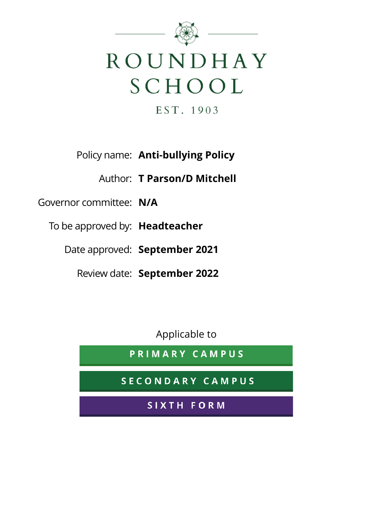

EST. 1903

## Policy name: **Anti-bullying Policy**

Author: **T Parson/D Mitchell**

Governor committee: **N/A**

To be approved by: **Headteacher**

Date approved: **September 2021**

Review date: **September 2022**

Applicable to

PRIMARY CAMPUS

SECONDARY CAMPUS

SIXTH FORM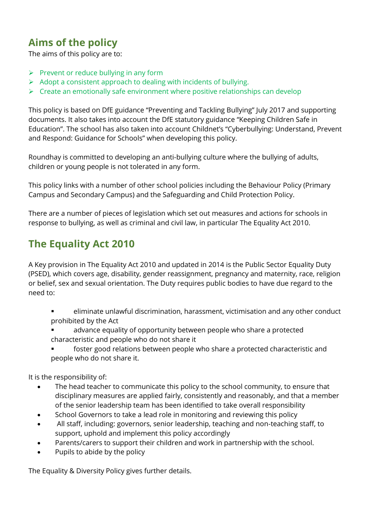# **Aims of the policy**

The aims of this policy are to:

- $\triangleright$  Prevent or reduce bullying in any form
- $\triangleright$  Adopt a consistent approach to dealing with incidents of bullying.
- $\triangleright$  Create an emotionally safe environment where positive relationships can develop

This policy is based on DfE guidance "Preventing and Tackling Bullying" July 2017 and supporting documents. It also takes into account the DfE statutory guidance "Keeping Children Safe in Education". The school has also taken into account Childnet's "Cyberbullying: Understand, Prevent and Respond: Guidance for Schools" when developing this policy.

Roundhay is committed to developing an anti-bullying culture where the bullying of adults, children or young people is not tolerated in any form.

This policy links with a number of other school policies including the Behaviour Policy (Primary Campus and Secondary Campus) and the Safeguarding and Child Protection Policy.

There are a number of pieces of legislation which set out measures and actions for schools in response to bullying, as well as criminal and civil law, in particular The Equality Act 2010.

## **The Equality Act 2010**

A Key provision in The Equality Act 2010 and updated in 2014 is the Public Sector Equality Duty (PSED), which covers age, disability, gender reassignment, pregnancy and maternity, race, religion or belief, sex and sexual orientation. The Duty requires public bodies to have due regard to the need to:

- eliminate unlawful discrimination, harassment, victimisation and any other conduct prohibited by the Act
- advance equality of opportunity between people who share a protected characteristic and people who do not share it
- foster good relations between people who share a protected characteristic and people who do not share it.

It is the responsibility of:

- The head teacher to communicate this policy to the school community, to ensure that disciplinary measures are applied fairly, consistently and reasonably, and that a member of the senior leadership team has been identified to take overall responsibility
- School Governors to take a lead role in monitoring and reviewing this policy
- All staff, including: governors, senior leadership, teaching and non-teaching staff, to support, uphold and implement this policy accordingly
- Parents/carers to support their children and work in partnership with the school.
- Pupils to abide by the policy

The Equality & Diversity Policy gives further details.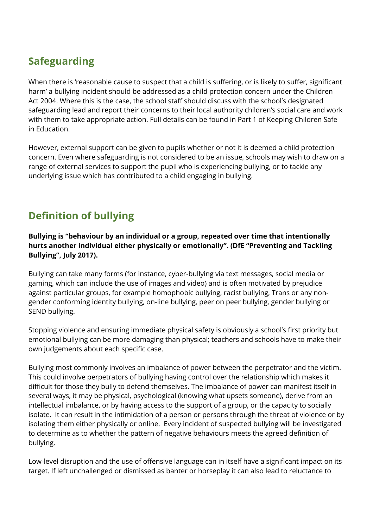# **Safeguarding**

When there is 'reasonable cause to suspect that a child is suffering, or is likely to suffer, significant harm' a bullying incident should be addressed as a child protection concern under the Children Act 2004. Where this is the case, the school staff should discuss with the school's designated safeguarding lead and report their concerns to their local authority children's social care and work with them to take appropriate action. Full details can be found in Part 1 of Keeping Children Safe in Education.

However, external support can be given to pupils whether or not it is deemed a child protection concern. Even where safeguarding is not considered to be an issue, schools may wish to draw on a range of external services to support the pupil who is experiencing bullying, or to tackle any underlying issue which has contributed to a child engaging in bullying.

# **Definition of bullying**

**Bullying is "behaviour by an individual or a group, repeated over time that intentionally hurts another individual either physically or emotionally". (DfE "Preventing and Tackling Bullying", July 2017).**

Bullying can take many forms (for instance, cyber-bullying via text messages, social media or gaming, which can include the use of images and video) and is often motivated by prejudice against particular groups, for example homophobic bullying, racist bullying, Trans or any nongender conforming identity bullying, on-line bullying, peer on peer bullying, gender bullying or SEND bullying.

Stopping violence and ensuring immediate physical safety is obviously a school's first priority but emotional bullying can be more damaging than physical; teachers and schools have to make their own judgements about each specific case.

Bullying most commonly involves an imbalance of power between the perpetrator and the victim. This could involve perpetrators of bullying having control over the relationship which makes it difficult for those they bully to defend themselves. The imbalance of power can manifest itself in several ways, it may be physical, psychological (knowing what upsets someone), derive from an intellectual imbalance, or by having access to the support of a group, or the capacity to socially isolate. It can result in the intimidation of a person or persons through the threat of violence or by isolating them either physically or online. Every incident of suspected bullying will be investigated to determine as to whether the pattern of negative behaviours meets the agreed definition of bullying.

Low-level disruption and the use of offensive language can in itself have a significant impact on its target. If left unchallenged or dismissed as banter or horseplay it can also lead to reluctance to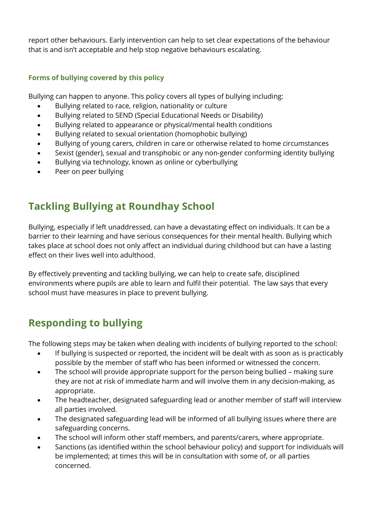report other behaviours. Early intervention can help to set clear expectations of the behaviour that is and isn't acceptable and help stop negative behaviours escalating.

### **Forms of bullying covered by this policy**

Bullying can happen to anyone. This policy covers all types of bullying including:

- Bullying related to race, religion, nationality or culture
- Bullying related to SEND (Special Educational Needs or Disability)
- Bullying related to appearance or physical/mental health conditions
- Bullying related to sexual orientation (homophobic bullying)
- Bullying of young carers, children in care or otherwise related to home circumstances
- Sexist (gender), sexual and transphobic or any non-gender conforming identity bullying
- Bullying via technology, known as online or cyberbullying
- Peer on peer bullying

# **Tackling Bullying at Roundhay School**

Bullying, especially if left unaddressed, can have a devastating effect on individuals. It can be a barrier to their learning and have serious consequences for their mental health. Bullying which takes place at school does not only affect an individual during childhood but can have a lasting effect on their lives well into adulthood.

By effectively preventing and tackling bullying, we can help to create safe, disciplined environments where pupils are able to learn and fulfil their potential. The law says that every school must have measures in place to prevent bullying.

# **Responding to bullying**

The following steps may be taken when dealing with incidents of bullying reported to the school:

- If bullying is suspected or reported, the incident will be dealt with as soon as is practicably possible by the member of staff who has been informed or witnessed the concern.
- The school will provide appropriate support for the person being bullied making sure they are not at risk of immediate harm and will involve them in any decision-making, as appropriate.
- The headteacher, designated safeguarding lead or another member of staff will interview all parties involved.
- The designated safeguarding lead will be informed of all bullying issues where there are safeguarding concerns.
- The school will inform other staff members, and parents/carers, where appropriate.
- Sanctions (as identified within the school behaviour policy) and support for individuals will be implemented; at times this will be in consultation with some of, or all parties concerned.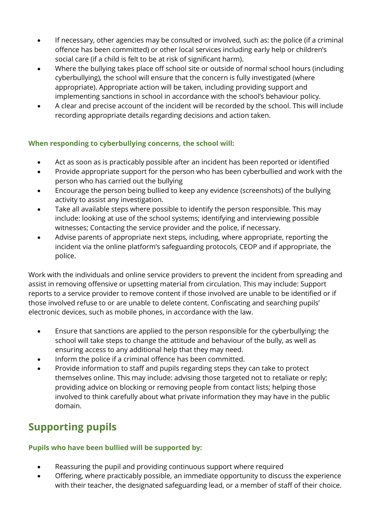- If necessary, other agencies may be consulted or involved, such as: the police (if a criminal offence has been committed) or other local services including early help or children's social care (if a child is felt to be at risk of significant harm).
- Where the bullying takes place off school site or outside of normal school hours (including cyberbullying), the school will ensure that the concern is fully investigated (where appropriate). Appropriate action will be taken, including providing support and implementing sanctions in school in accordance with the school's behaviour policy.
- A clear and precise account of the incident will be recorded by the school. This will include recording appropriate details regarding decisions and action taken.

### **When responding to cyberbullying concerns, the school will:**

- Act as soon as is practicably possible after an incident has been reported or identified
- Provide appropriate support for the person who has been cyberbullied and work with the person who has carried out the bullying
- Encourage the person being bullied to keep any evidence (screenshots) of the bullying activity to assist any investigation.
- Take all available steps where possible to identify the person responsible. This may include: looking at use of the school systems; identifying and interviewing possible witnesses; Contacting the service provider and the police, if necessary.
- Advise parents of appropriate next steps, including, where appropriate, reporting the incident via the online platform's safeguarding protocols, CEOP and if appropriate, the police.

Work with the individuals and online service providers to prevent the incident from spreading and assist in removing offensive or upsetting material from circulation. This may include: Support reports to a service provider to remove content if those involved are unable to be identified or if those involved refuse to or are unable to delete content. Confiscating and searching pupils' electronic devices, such as mobile phones, in accordance with the law.

- Ensure that sanctions are applied to the person responsible for the cyberbullying; the school will take steps to change the attitude and behaviour of the bully, as well as ensuring access to any additional help that they may need.
- Inform the police if a criminal offence has been committed.
- Provide information to staff and pupils regarding steps they can take to protect themselves online. This may include: advising those targeted not to retaliate or reply; providing advice on blocking or removing people from contact lists; helping those involved to think carefully about what private information they may have in the public domain.

# **Supporting pupils**

### **Pupils who have been bullied will be supported by:**

- Reassuring the pupil and providing continuous support where required
- Offering, where practicably possible, an immediate opportunity to discuss the experience with their teacher, the designated safeguarding lead, or a member of staff of their choice.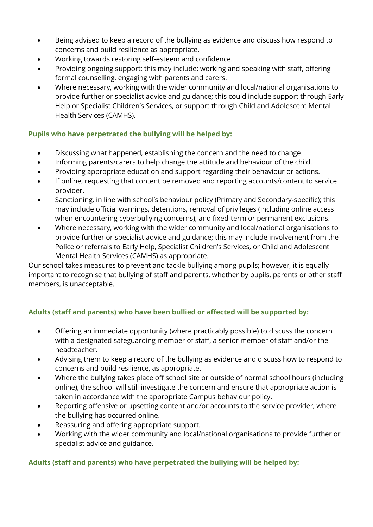- Being advised to keep a record of the bullying as evidence and discuss how respond to concerns and build resilience as appropriate.
- Working towards restoring self-esteem and confidence.
- Providing ongoing support; this may include: working and speaking with staff, offering formal counselling, engaging with parents and carers.
- Where necessary, working with the wider community and local/national organisations to provide further or specialist advice and guidance; this could include support through Early Help or Specialist Children's Services, or support through Child and Adolescent Mental Health Services (CAMHS).

### **Pupils who have perpetrated the bullying will be helped by:**

- Discussing what happened, establishing the concern and the need to change.
- Informing parents/carers to help change the attitude and behaviour of the child.
- Providing appropriate education and support regarding their behaviour or actions.
- If online, requesting that content be removed and reporting accounts/content to service provider.
- Sanctioning, in line with school's behaviour policy (Primary and Secondary-specific); this may include official warnings, detentions, removal of privileges (including online access when encountering cyberbullying concerns), and fixed-term or permanent exclusions.
- Where necessary, working with the wider community and local/national organisations to provide further or specialist advice and guidance; this may include involvement from the Police or referrals to Early Help, Specialist Children's Services, or Child and Adolescent Mental Health Services (CAMHS) as appropriate.

Our school takes measures to prevent and tackle bullying among pupils; however, it is equally important to recognise that bullying of staff and parents, whether by pupils, parents or other staff members, is unacceptable.

### **Adults (staff and parents) who have been bullied or affected will be supported by:**

- Offering an immediate opportunity (where practicably possible) to discuss the concern with a designated safeguarding member of staff, a senior member of staff and/or the headteacher.
- Advising them to keep a record of the bullying as evidence and discuss how to respond to concerns and build resilience, as appropriate.
- Where the bullying takes place off school site or outside of normal school hours (including online), the school will still investigate the concern and ensure that appropriate action is taken in accordance with the appropriate Campus behaviour policy.
- Reporting offensive or upsetting content and/or accounts to the service provider, where the bullying has occurred online.
- Reassuring and offering appropriate support.
- Working with the wider community and local/national organisations to provide further or specialist advice and guidance.

### **Adults (staff and parents) who have perpetrated the bullying will be helped by:**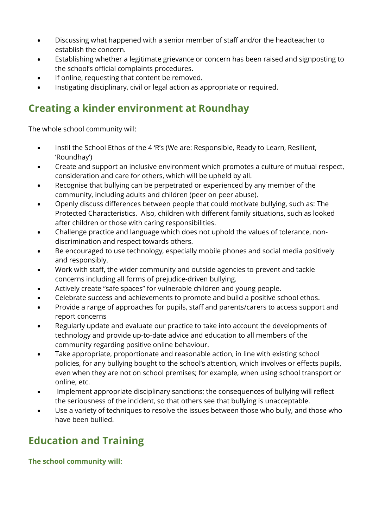- Discussing what happened with a senior member of staff and/or the headteacher to establish the concern.
- Establishing whether a legitimate grievance or concern has been raised and signposting to the school's official complaints procedures.
- If online, requesting that content be removed.
- Instigating disciplinary, civil or legal action as appropriate or required.

# **Creating a kinder environment at Roundhay**

The whole school community will:

- Instil the School Ethos of the 4 'R's (We are: Responsible, Ready to Learn, Resilient, 'Roundhay')
- Create and support an inclusive environment which promotes a culture of mutual respect, consideration and care for others, which will be upheld by all.
- Recognise that bullying can be perpetrated or experienced by any member of the community, including adults and children (peer on peer abuse).
- Openly discuss differences between people that could motivate bullying, such as: The Protected Characteristics. Also, children with different family situations, such as looked after children or those with caring responsibilities.
- Challenge practice and language which does not uphold the values of tolerance, nondiscrimination and respect towards others.
- Be encouraged to use technology, especially mobile phones and social media positively and responsibly.
- Work with staff, the wider community and outside agencies to prevent and tackle concerns including all forms of prejudice-driven bullying.
- Actively create "safe spaces" for vulnerable children and young people.
- Celebrate success and achievements to promote and build a positive school ethos.
- Provide a range of approaches for pupils, staff and parents/carers to access support and report concerns
- Regularly update and evaluate our practice to take into account the developments of technology and provide up-to-date advice and education to all members of the community regarding positive online behaviour.
- Take appropriate, proportionate and reasonable action, in line with existing school policies, for any bullying bought to the school's attention, which involves or effects pupils, even when they are not on school premises; for example, when using school transport or online, etc.
- Implement appropriate disciplinary sanctions; the consequences of bullying will reflect the seriousness of the incident, so that others see that bullying is unacceptable.
- Use a variety of techniques to resolve the issues between those who bully, and those who have been bullied.

# **Education and Training**

**The school community will:**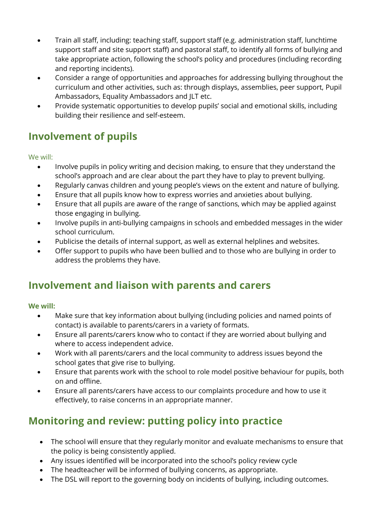- Train all staff, including: teaching staff, support staff (e.g. administration staff, lunchtime support staff and site support staff) and pastoral staff, to identify all forms of bullying and take appropriate action, following the school's policy and procedures (including recording and reporting incidents).
- Consider a range of opportunities and approaches for addressing bullying throughout the curriculum and other activities, such as: through displays, assemblies, peer support, Pupil Ambassadors, Equality Ambassadors and JLT etc.
- Provide systematic opportunities to develop pupils' social and emotional skills, including building their resilience and self-esteem.

## **Involvement of pupils**

We will:

- Involve pupils in policy writing and decision making, to ensure that they understand the school's approach and are clear about the part they have to play to prevent bullying.
- Regularly canvas children and young people's views on the extent and nature of bullying.
- Ensure that all pupils know how to express worries and anxieties about bullying.
- Ensure that all pupils are aware of the range of sanctions, which may be applied against those engaging in bullying.
- Involve pupils in anti-bullying campaigns in schools and embedded messages in the wider school curriculum.
- Publicise the details of internal support, as well as external helplines and websites.
- Offer support to pupils who have been bullied and to those who are bullying in order to address the problems they have.

## **Involvement and liaison with parents and carers**

**We will:** 

- Make sure that key information about bullying (including policies and named points of contact) is available to parents/carers in a variety of formats.
- Ensure all parents/carers know who to contact if they are worried about bullying and where to access independent advice.
- Work with all parents/carers and the local community to address issues beyond the school gates that give rise to bullying.
- Ensure that parents work with the school to role model positive behaviour for pupils, both on and offline.
- Ensure all parents/carers have access to our complaints procedure and how to use it effectively, to raise concerns in an appropriate manner.

# **Monitoring and review: putting policy into practice**

- The school will ensure that they regularly monitor and evaluate mechanisms to ensure that the policy is being consistently applied.
- Any issues identified will be incorporated into the school's policy review cycle
- The headteacher will be informed of bullying concerns, as appropriate.
- The DSL will report to the governing body on incidents of bullying, including outcomes.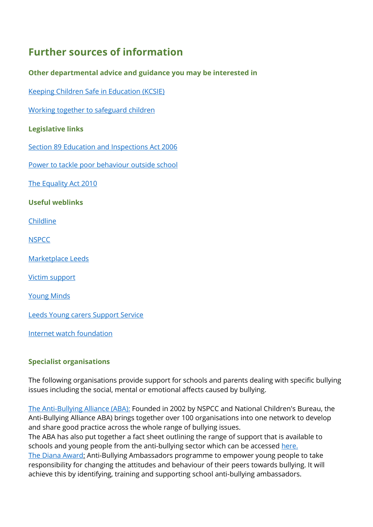## **Further sources of information**

### **Other departmental advice and guidance you may be interested in**

[Keeping Children Safe in Education \(KCSIE\)](https://www.gov.uk/government/publications/keeping-children-safe-in-education--2)

[Working together to safeguard children](https://www.gov.uk/government/publications/working-together-to-safeguard-children--2)

#### **Legislative links**

[Section 89 Education and Inspections Act 2006](http://www.legislation.gov.uk/ukpga/2006/40/section/89)

[Power to tackle poor behaviour outside school](http://www.legislation.gov.uk/ukpga/2006/40/section/90)

[The Equality Act 2010](http://www.legislation.gov.uk/ukpga/2010/15/contents)

#### **Useful weblinks**

[Childline](https://www.childline.org.uk/)

**[NSPCC](https://www.nspcc.org.uk/)** 

[Marketplace Leeds](https://www.themarketplaceleeds.org.uk/)

[Victim support](https://www.victimsupport.org.uk/)

[Young Minds](https://www.youngminds.org.uk/)

[Leeds Young carers](https://www.family-action.org.uk/what-we-do/children-families/leeds-young-carers-support-service/) Support Service

[Internet watch foundation](https://www.iwf.org.uk/)

#### **Specialist organisations**

The following organisations provide support for schools and parents dealing with specific bullying issues including the social, mental or emotional affects caused by bullying.

[The Anti-Bullying Alliance \(ABA\):](http://www.anti-bullyingalliance.org.uk/) Founded in 2002 by NSPCC and National Children's Bureau, the Anti-Bullying Alliance ABA) brings together over 100 organisations into one network to develop and share good practice across the whole range of bullying issues.

The ABA has also put together a fact sheet outlining the range of support that is available to schools and young people from the anti-bullying sector which can be accessed [here.](https://www.anti-bullyingalliance.org.uk/tools-information/all-about-bullying/choosing-anti-bullying-tools)

[The Diana Award:](http://diana-award.org.uk/) Anti-Bullying Ambassadors programme to empower young people to take responsibility for changing the attitudes and behaviour of their peers towards bullying. It will achieve this by identifying, training and supporting school anti-bullying ambassadors.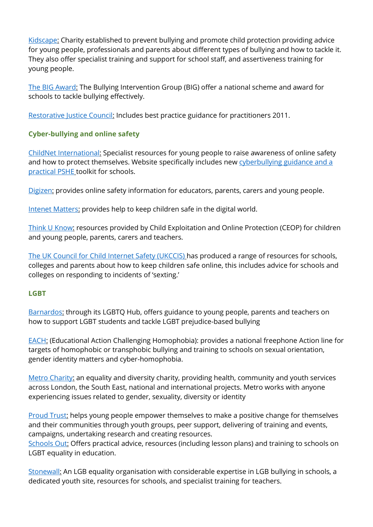[Kidscape:](http://www.kidscape.org.uk/) Charity established to prevent bullying and promote child protection providing advice for young people, professionals and parents about different types of bullying and how to tackle it. They also offer specialist training and support for school staff, and assertiveness training for young people.

[The BIG Award:](https://www.bullyinginterventiongroup.co.uk/index.php) The Bullying Intervention Group (BIG) offer a national scheme and award for schools to tackle bullying effectively.

[Restorative Justice Council:](http://restorativejustice.org.uk/restorative-practice-schools) Includes best practice guidance for practitioners 2011.

### **Cyber-bullying and online safety**

[ChildNet International:](http://www.childnet.com/) Specialist resources for young people to raise awareness of online safety and how to protect themselves. Website specifically includes new [cyberbullying](http://www.childnet.com/new-for-schools/cyberbullying-guidance-and-practical-toolkit) guidance and a [practical PSHE](http://www.childnet.com/new-for-schools/cyberbullying-guidance-and-practical-toolkit) toolkit for schools.

[Digizen:](http://www.digizen.org/) provides online safety information for educators, parents, carers and young people.

[Intenet Matters:](https://www.internetmatters.org/) provides help to keep children safe in the digital world.

[Think U Know:](https://www.thinkuknow.co.uk/) resources provided by Child Exploitation and Online Protection (CEOP) for children and young people, parents, carers and teachers.

[The UK Council for Child](https://www.gov.uk/government/groups/uk-council-for-child-internet-safety-ukccis) [Internet Safety \(UKCCIS\)](https://www.gov.uk/government/groups/uk-council-for-child-internet-safety-ukccis) [h](https://www.gov.uk/government/groups/uk-council-for-child-internet-safety-ukccis)as produced a range of resources for schools, colleges and parents about how to keep children safe online, this includes advice for schools and colleges on responding to incidents of 'sexting.'

#### **LGBT**

[Barnardos:](http://www.barnardos.org.uk/what_we_do/our_work/lgbtq.htm) through its LGBTQ Hub, offers guidance to young people, parents and teachers on how to support LGBT students and tackle LGBT prejudice-based bullying

[EACH:](http://www.eachaction.org.uk/) (Educational Action Challenging Homophobia): provides a national freephone Action line for targets of homophobic or transphobic bullying and training to schools on sexual orientation, gender identity matters and cyber-homophobia.

[Metro Charity:](https://www.metrocentreonline.org/) an equality and diversity charity, providing health, community and youth services across London, the South East, national and international projects. Metro works with anyone experiencing issues related to gender, sexuality, diversity or identity

[Proud Trust:](https://www.theproudtrust.org/) helps young people empower themselves to make a positive change for themselves and their communities through youth groups, peer support, delivering of training and events, campaigns, undertaking research and creating resources.

[Schools Out:](http://www.schools-out.org.uk/) Offers practical advice, resources (including lesson plans) and training to schools on LGBT equality in education.

[Stonewall:](http://www.stonewall.org.uk/) An LGB equality organisation with considerable expertise in LGB bullying in schools, a dedicated youth site, resources for schools, and specialist training for teachers.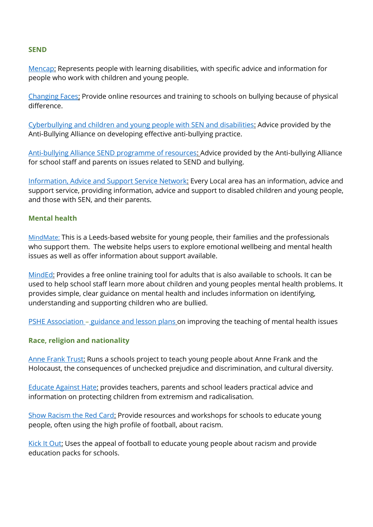#### **SEND**

[Mencap:](http://www.mencap.org.uk/) Represents people with learning disabilities, with specific advice and information for people who work with children and young people.

[Changing Faces:](https://www.changingfaces.org.uk/Home) Provide online resources and training to schools on bullying because of physical difference.

[Cyberbullying and children and young people with SEN and disabilities:](http://www.cafamily.org.uk/media/750755/cyberbullying_and_send_-_module_final.pdf) Advice provided by the Anti-Bullying Alliance on developing effective anti-bullying practice.

[Anti-bullying Alliance SEND programme of resources:](https://www.anti-bullyingalliance.org.uk/tools-information/all-about-bullying/sen-disability) Advice provided by the Anti-bullying Alliance for school staff and parents on issues related to SEND and bullying.

[Information, Advice and Support Service Network:](https://councilfordisabledchildren.org.uk/information-advice-and-support-services-network/about/what-do-ias-services-do) Every Local area has an information, advice and support service, providing information, advice and support to disabled children and young people, and those with SEN, and their parents.

#### **Mental health**

MindMate: This is a Leeds-based website for young people, their families and the professionals who support them. The website helps users to explore emotional wellbeing and mental health issues as well as offer information about support available.

[MindEd:](https://www.minded.org.uk/) Provides a free online training tool for adults that is also available to schools. It can be used to help school staff learn more about children and young peoples mental health problems. It provides simple, clear guidance on mental health and includes information on identifying, understanding and supporting children who are bullied.

[PSHE Association](https://www.pshe-association.org.uk/) [–](https://www.pshe-association.org.uk/) [guidance and lesson plans](https://pshe-association.org.uk/curriculum-and-resources/resources/guidance-preparing-teach-about-mental-health-and?ResourceId=570&Keyword=&SubjectID=0&LevelID=0&ResourceTypeID=3&SuggestedUseID=0) [o](https://pshe-association.org.uk/curriculum-and-resources/resources/guidance-preparing-teach-about-mental-health-and?ResourceId=570&Keyword=&SubjectID=0&LevelID=0&ResourceTypeID=3&SuggestedUseID=0)n improving the teaching of mental health issues

#### **Race, religion and nationality**

[Anne Frank Trust:](http://www.annefrank.org.uk/what-we-do/schools-project/our-work-schools) Runs a schools project to teach young people about Anne Frank and the Holocaust, the consequences of unchecked prejudice and discrimination, and cultural diversity.

[Educate Against Hate:](http://educateagainsthate.com/) provides teachers, parents and school leaders practical advice and information on protecting children from extremism and radicalisation.

[Show Racism the Red Card:](http://www.srtrc.org/educational) Provide resources and workshops for schools to educate young people, often using the high profile of football, about racism.

[Kick It Out:](http://www.kickitout.org/) Uses the appeal of football to educate young people about racism and provide education packs for schools.